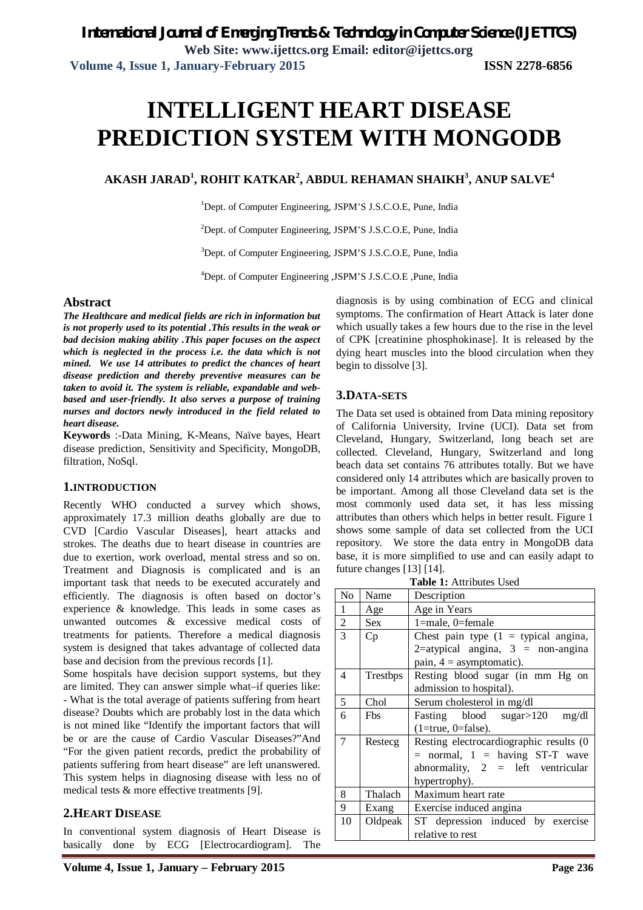# **INTELLIGENT HEART DISEASE PREDICTION SYSTEM WITH MONGODB**

#### **AKASH JARAD<sup>1</sup> , ROHIT KATKAR<sup>2</sup> , ABDUL REHAMAN SHAIKH<sup>3</sup> , ANUP SALVE<sup>4</sup>**

<sup>1</sup>Dept. of Computer Engineering, JSPM'S J.S.C.O.E, Pune, India

<sup>2</sup>Dept. of Computer Engineering, JSPM'S J.S.C.O.E, Pune, India

<sup>3</sup>Dept. of Computer Engineering, JSPM'S J.S.C.O.E, Pune, India

<sup>4</sup>Dept. of Computer Engineering ,JSPM'S J.S.C.O.E ,Pune, India

#### **Abstract**

*The Healthcare and medical fields are rich in information but is not properly used to its potential .This results in the weak or bad decision making ability .This paper focuses on the aspect which is neglected in the process i.e. the data which is not mined. We use 14 attributes to predict the chances of heart disease prediction and thereby preventive measures can be taken to avoid it. The system is reliable, expandable and webbased and user-friendly. It also serves a purpose of training nurses and doctors newly introduced in the field related to heart disease.*

**Keywords** :-Data Mining, K-Means, Naïve bayes, Heart disease prediction, Sensitivity and Specificity, MongoDB, filtration, NoSql.

#### **1.INTRODUCTION**

Recently WHO conducted a survey which shows, approximately 17.3 million deaths globally are due to CVD [Cardio Vascular Diseases], heart attacks and strokes. The deaths due to heart disease in countries are due to exertion, work overload, mental stress and so on. Treatment and Diagnosis is complicated and is an important task that needs to be executed accurately and efficiently. The diagnosis is often based on doctor's experience & knowledge. This leads in some cases as unwanted outcomes & excessive medical costs of treatments for patients. Therefore a medical diagnosis system is designed that takes advantage of collected data base and decision from the previous records [1].

Some hospitals have decision support systems, but they are limited. They can answer simple what–if queries like: - What is the total average of patients suffering from heart disease? Doubts which are probably lost in the data which is not mined like "Identify the important factors that will be or are the cause of Cardio Vascular Diseases?"And "For the given patient records, predict the probability of patients suffering from heart disease" are left unanswered. This system helps in diagnosing disease with less no of medical tests & more effective treatments [9].

#### **2.HEART DISEASE**

In conventional system diagnosis of Heart Disease is basically done by ECG [Electrocardiogram]. The

**Volume 4, Issue 1, January – February 2015 Page 236**

diagnosis is by using combination of ECG and clinical symptoms. The confirmation of Heart Attack is later done which usually takes a few hours due to the rise in the level of CPK [creatinine phosphokinase]. It is released by the dying heart muscles into the blood circulation when they begin to dissolve [3].

#### **3.DATA-SETS**

The Data set used is obtained from Data mining repository of California University, Irvine (UCI). Data set from Cleveland, Hungary, Switzerland, long beach set are collected. Cleveland, Hungary, Switzerland and long beach data set contains 76 attributes totally. But we have considered only 14 attributes which are basically proven to be important. Among all those Cleveland data set is the most commonly used data set, it has less missing attributes than others which helps in better result. Figure 1 shows some sample of data set collected from the UCI repository. We store the data entry in MongoDB data base, it is more simplified to use and can easily adapt to future changes [13] [14].

| Table 1: Attributes Used |                                            |  |  |  |  |  |  |  |
|--------------------------|--------------------------------------------|--|--|--|--|--|--|--|
| Name                     | Description                                |  |  |  |  |  |  |  |
| Age                      | Age in Years                               |  |  |  |  |  |  |  |
| Sex.                     | $1$ =male, 0=female                        |  |  |  |  |  |  |  |
| Cp                       | Chest pain type $(1 =$ typical angina,     |  |  |  |  |  |  |  |
|                          | 2=atypical angina, $3 = \text{non-angina}$ |  |  |  |  |  |  |  |
|                          | pain, $4 =$ asymptomatic).                 |  |  |  |  |  |  |  |
| Trestbps                 | Resting blood sugar (in mm Hg on           |  |  |  |  |  |  |  |
|                          | admission to hospital).                    |  |  |  |  |  |  |  |
| Chol                     | Serum cholesterol in mg/dl                 |  |  |  |  |  |  |  |
| <b>F</b> bs              | Fasting blood sugar>120<br>mg/dl           |  |  |  |  |  |  |  |
|                          | $(1 = true, 0 = false).$                   |  |  |  |  |  |  |  |
| Restecg                  | Resting electrocardiographic results (0    |  |  |  |  |  |  |  |
|                          | $=$ normal, $1 =$ having ST-T wave         |  |  |  |  |  |  |  |
|                          | abnormality, $2 =$ left ventricular        |  |  |  |  |  |  |  |
|                          | hypertrophy).                              |  |  |  |  |  |  |  |
| Thalach                  | Maximum heart rate                         |  |  |  |  |  |  |  |
| Exang                    | Exercise induced angina                    |  |  |  |  |  |  |  |
| Oldpeak                  | ST depression induced by exercise          |  |  |  |  |  |  |  |
|                          | relative to rest                           |  |  |  |  |  |  |  |
|                          |                                            |  |  |  |  |  |  |  |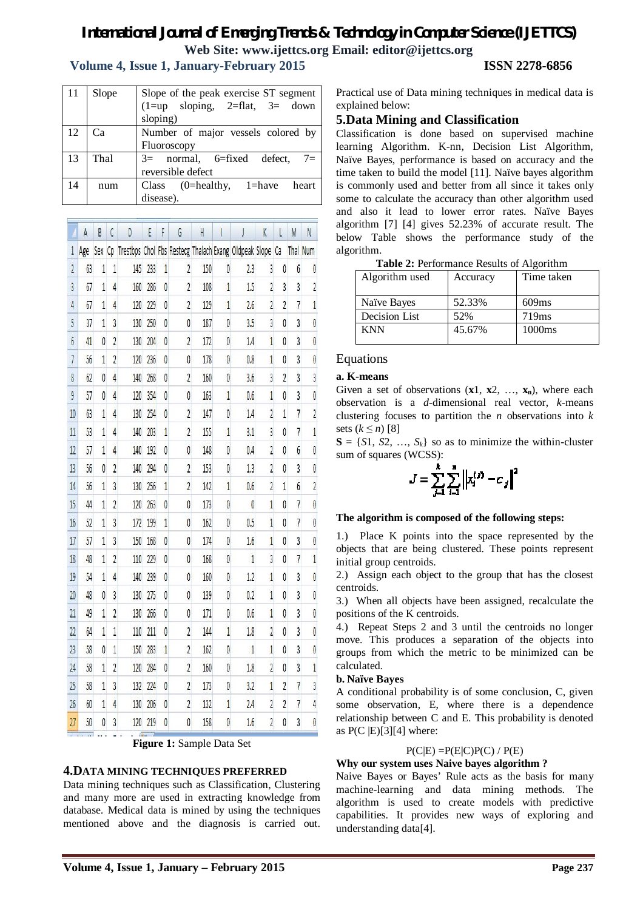# *International Journal of Emerging Trends & Technology in Computer Science (IJETTCS)* **Web Site: www.ijettcs.org Email: editor@ijettcs.org**

# **Volume 4, Issue 1, January-February 2015 ISSN 2278-6856**

| 11 | Slope | Slope of the peak exercise ST segment         |
|----|-------|-----------------------------------------------|
|    |       | $(1 = up \text{ sloping}, 2 = flat, 3 = down$ |
|    |       | sloping)                                      |
| 12 | Ca    | Number of major vessels colored by            |
|    |       | Fluoroscopy                                   |
| 13 | Thal  | $3=$ normal, 6=fixed defect, 7=               |
|    |       | reversible defect                             |
| 14 | num   | Class $(0=$ healthy, $1=$ have heart          |
|    |       | disease).                                     |

|                 | A   | B              | Ċ              | D                                                     | E   | F              | G              | H   |                |     | K              | L              | M              | N               |
|-----------------|-----|----------------|----------------|-------------------------------------------------------|-----|----------------|----------------|-----|----------------|-----|----------------|----------------|----------------|-----------------|
| $\mathbf{1}$    | Age | Sex            | Cp             | Trestbps Chol Fbs Restecg Thalach Exang Oldpeak Slope |     |                |                |     |                |     |                | Ca             |                | <b>Thal Num</b> |
| $\overline{2}$  | 63  | 1              | 1              | 145                                                   | 233 | 1              | $\overline{2}$ | 150 | 0              | 2.3 | 3              | 0              | 6              | 0               |
| 3               | 67  | 1              | $\overline{4}$ | 160                                                   | 286 | 0              | $\overline{c}$ | 108 | 1              | 1.5 | 2              | 3              | 3              | $\overline{2}$  |
| $\overline{4}$  | 67  | $\overline{1}$ | 4              | 120                                                   | 229 | 0              | $\overline{2}$ | 129 | $\overline{1}$ | 2.6 | $\overline{c}$ | $\overline{2}$ | $\overline{7}$ | $\mathbf{1}$    |
| 5               | 37  | 1              | 3              | 130                                                   | 250 | 0              | 0              | 187 | 0              | 3.5 | 3              | 0              | 3              | 0               |
| 6               | 41  | $\overline{0}$ | $\overline{2}$ | 130                                                   | 204 | $\overline{0}$ | $\overline{c}$ | 172 | $\mathbf{0}$   | 1.4 | 1              | $\overline{0}$ | 3              | $\overline{0}$  |
| $\overline{1}$  | 56  | 1              | $\overline{c}$ | 120                                                   | 236 | 0              | 0              | 178 | 0              | 0.8 | $\overline{1}$ | 0              | 3              | 0               |
| 8               | 62  | $\overline{0}$ | 4              | 140                                                   | 268 | 0              | $\overline{c}$ | 160 | 0              | 3.6 | 3              | $\overline{2}$ | 3              | 3               |
| 9               | 57  | $\overline{0}$ | 4              | 120                                                   | 354 | 0              | 0              | 163 | 1              | 0.6 | 1              | 0              | 3              | 0               |
| 10              | 63  | $\mathbf 1$    | 4              | 130                                                   | 254 | 0              | $\overline{c}$ | 147 | 0              | 1.4 | $\overline{c}$ | $\overline{1}$ | $\overline{7}$ | $\overline{c}$  |
| 11              | 53  | 1              | 4              | 140                                                   | 203 | 1              | $\overline{2}$ | 155 | 1              | 3.1 | 3              | 0              | $\overline{1}$ | İ               |
| 12              | 57  | $\overline{1}$ | $\overline{4}$ | 140                                                   | 192 | $\overline{0}$ | 0              | 148 | 0              | 0.4 | $\overline{c}$ | 0              | 6              | 0               |
| 13              | 56  | 0              | $\overline{2}$ | 140                                                   | 294 | 0              | $\overline{2}$ | 153 | 0              | 1.3 | $\overline{2}$ | 0              | 3              | 0               |
| 14              | 56  | $\overline{1}$ | 3              | 130                                                   | 256 | 1              | $\overline{c}$ | 142 | $\overline{1}$ | 0.6 | $\overline{2}$ | $\overline{1}$ | 6              | $\overline{c}$  |
| 15              | 44  | 1              | $\overline{2}$ | 120                                                   | 263 | $\overline{0}$ | 0              | 173 | 0              | 0   | 1              | 0              | $\overline{1}$ | 0               |
| 16              | 52  | $\mathbf 1$    | 3              | 172                                                   | 199 | $\mathbf{1}$   | 0              | 162 | $\mathbf{0}$   | 0.5 | $\overline{1}$ | 0              | $\overline{1}$ | 0               |
| 17              | 57  | 1              | 3              | 150                                                   | 168 | 0              | 0              | 174 | 0              | 1.6 | 1              | 0              | 3              | 0               |
| 18              | 48  | 1              | $\overline{c}$ | 110                                                   | 229 | $\overline{0}$ | 0              | 168 | 0              | 1   | 3              | $\overline{0}$ | $\overline{7}$ | $\mathbf{1}$    |
| 19              | 54  | 1              | $\overline{4}$ | 140                                                   | 239 | 0              | 0              | 160 | 0              | 1.2 | $\overline{1}$ | 0              | 3              | 0               |
| 20              | 48  | 0              | 3              | 130                                                   | 275 | 0              | 0              | 139 | 0              | 0.2 | $\overline{1}$ | 0              | 3              | 0               |
| 21              | 49  | $\overline{1}$ | $\overline{2}$ | 130                                                   | 266 | 0              | 0              | 171 | 0              | 0.6 | 1              | 0              | 3              | 0               |
| $\overline{22}$ | 64  | $\mathbf 1$    | 1              | 110                                                   | 211 | $\overline{0}$ | $\overline{2}$ | 144 | $\overline{1}$ | 1.8 | $\overline{c}$ | $\overline{0}$ | 3              | $\overline{0}$  |
| 23              | 58  | 0              | 1              | 150                                                   | 283 | 1              | $\overline{2}$ | 162 | 0              | 1   | 1              | $\overline{0}$ | 3              | $\overline{0}$  |
| 24              | 58  | $\overline{1}$ | $\overline{2}$ | 120                                                   | 284 | 0              | $\overline{2}$ | 160 | 0              | 1.8 | $\overline{c}$ | $\overline{0}$ | 3              | $\mathbf{1}$    |
| 25              | 58  | 1              | 3              | 132                                                   | 224 | 0              | $\overline{2}$ | 173 | 0              | 3.2 | 1              | $\overline{2}$ | $\overline{7}$ | 3               |
| 26              | 60  | 1              | 4              | 130                                                   | 206 | 0              | $\overline{c}$ | 132 | $\mathbf{1}$   | 2.4 | $\overline{c}$ | $\overline{c}$ | $\overline{7}$ | 4               |
| $\overline{27}$ | 50  | 0              | 3              | 120                                                   | 219 | $\overline{0}$ | 0              | 158 | 0              | 1.6 | 2              | $\overline{0}$ | 3              | $\overline{0}$  |

**Figure 1:** Sample Data Set

#### **4.DATA MINING TECHNIQUES PREFERRED**

Data mining techniques such as Classification, Clustering and many more are used in extracting knowledge from database. Medical data is mined by using the techniques mentioned above and the diagnosis is carried out. Practical use of Data mining techniques in medical data is explained below:

# **5.Data Mining and Classification**

Classification is done based on supervised machine learning Algorithm. K-nn, Decision List Algorithm, Naïve Bayes, performance is based on accuracy and the time taken to build the model [11]. Naïve bayes algorithm is commonly used and better from all since it takes only some to calculate the accuracy than other algorithm used and also it lead to lower error rates. Naïve Bayes algorithm [7] [4] gives 52.23% of accurate result. The below Table shows the performance study of the algorithm.

|  | Table 2: Performance Results of Algorithm |
|--|-------------------------------------------|
|--|-------------------------------------------|

| Algorithm used       | Accuracy | Time taken         |
|----------------------|----------|--------------------|
| Naïve Bayes          | 52.33%   | 609ms              |
| <b>Decision List</b> | 52%      | 719ms              |
| <b>KNN</b>           | 45.67%   | 1000 <sub>ms</sub> |
|                      |          |                    |

#### Equations

#### **a. K-means**

Given a set of observations  $(\mathbf{x}1, \mathbf{x}2, \ldots, \mathbf{x}_n)$ , where each observation is a *d*-dimensional real vector, *k*-means clustering focuses to partition the *n* observations into *k*  sets  $(k \leq n)$  [8]

 $S = \{S1, S2, \ldots, S_k\}$  so as to minimize the within-cluster sum of squares (WCSS):

$$
J = \sum_{j=1}^{k} \sum_{i=1}^{n} ||x_i^{(j)} - c_j||^2
$$

#### **The algorithm is composed of the following steps:**

1.) Place K points into the space represented by the objects that are being clustered. These points represent initial group centroids.

2.) Assign each object to the group that has the closest centroids.

3.) When all objects have been assigned, recalculate the positions of the K centroids.

4.) Repeat Steps 2 and 3 until the centroids no longer move. This produces a separation of the objects into groups from which the metric to be minimized can be calculated.

#### **b. Naïve Bayes**

A conditional probability is of some conclusion, C, given some observation, E, where there is a dependence relationship between C and E. This probability is denoted as  $P(C |E)[3][4]$  where:

#### P(C|E) =P(E**|**C)P(C) / P(E)

#### **Why our system uses Naive bayes algorithm ?**

Naive Bayes or Bayes' Rule acts as the basis for many machine-learning and data mining methods. The algorithm is used to create models with predictive capabilities. It provides new ways of exploring and understanding data[4].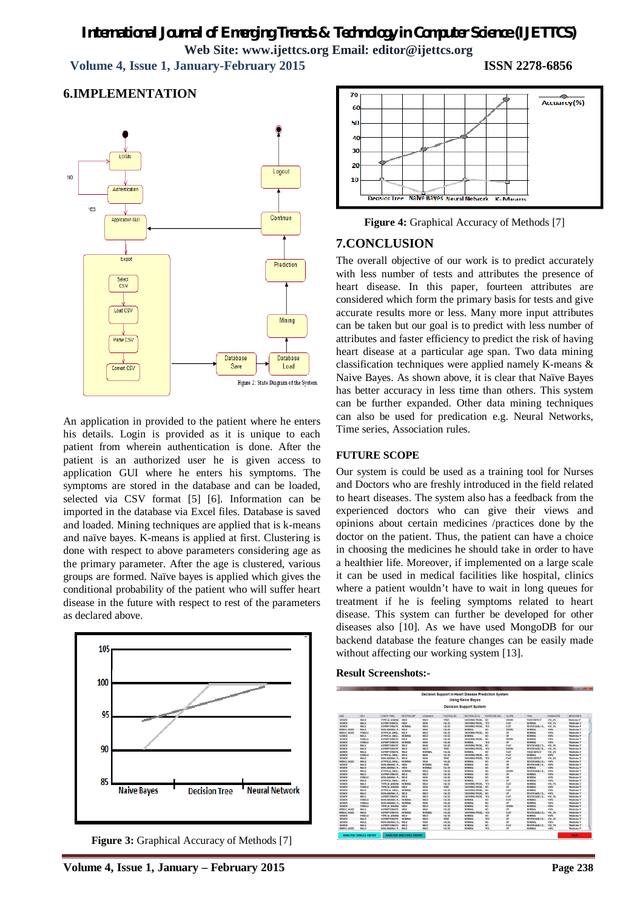# *International Journal of Emerging Trends & Technology in Computer Science (IJETTCS)* **Web Site: www.ijettcs.org Email: editor@ijettcs.org**

 **Volume 4, Issue 1, January-February 2015 ISSN 2278-6856**

### **6.IMPLEMENTATION**



An application in provided to the patient where he enters his details. Login is provided as it is unique to each patient from wherein authentication is done. After the patient is an authorized user he is given access to application GUI where he enters his symptoms. The symptoms are stored in the database and can be loaded, selected via CSV format [5] [6]. Information can be imported in the database via Excel files. Database is saved and loaded. Mining techniques are applied that is k-means and naïve bayes. K-means is applied at first. Clustering is done with respect to above parameters considering age as the primary parameter. After the age is clustered, various groups are formed. Naïve bayes is applied which gives the conditional probability of the patient who will suffer heart disease in the future with respect to rest of the parameters as declared above.



**Figure 3:** Graphical Accuracy of Methods [7]



**Figure 4:** Graphical Accuracy of Methods [7]

# **7.CONCLUSION**

The overall objective of our work is to predict accurately with less number of tests and attributes the presence of heart disease. In this paper, fourteen attributes are considered which form the primary basis for tests and give accurate results more or less. Many more input attributes can be taken but our goal is to predict with less number of attributes and faster efficiency to predict the risk of having heart disease at a particular age span. Two data mining classification techniques were applied namely K-means & Naive Bayes. As shown above, it is clear that Naïve Bayes has better accuracy in less time than others. This system can be further expanded. Other data mining techniques can also be used for predication e.g. Neural Networks, Time series, Association rules.

#### **FUTURE SCOPE**

Our system is could be used as a training tool for Nurses and Doctors who are freshly introduced in the field related to heart diseases. The system also has a feedback from the experienced doctors who can give their views and opinions about certain medicines /practices done by the doctor on the patient. Thus, the patient can have a choice in choosing the medicines he should take in order to have a healthier life. Moreover, if implemented on a large scale it can be used in medical facilities like hospital, clinics where a patient wouldn't have to wait in long queues for treatment if he is feeling symptoms related to heart disease. This system can further be developed for other diseases also [10]. As we have used MongoDB for our backend database the feature changes can be easily made without affecting our working system [13].

#### **Result Screenshots:-**

|                                |               |                       |                   |               |                   | <b>Decision Support in Heart Disease Prediction System</b> |                 |             |                     |                                               |                        |
|--------------------------------|---------------|-----------------------|-------------------|---------------|-------------------|------------------------------------------------------------|-----------------|-------------|---------------------|-----------------------------------------------|------------------------|
|                                |               |                       |                   |               |                   | <b>Using Naive Bayes</b>                                   |                 |             |                     |                                               |                        |
| <b>Decision Support System</b> |               |                       |                   |               |                   |                                                            |                 |             |                     |                                               |                        |
| AGE                            | SEX           | CHEST PAIN            | <b>RESTING BP</b> | Choisstrol    | <b>FASTING BS</b> | <b>RESTING ECG</b>                                         | EXERCISE IND.   | SLOPE       | <b>THAL</b>         | DIAGNOSIS                                     | MEDIONES               |
| <b>SENIOR</b>                  | <b>MALE</b>   | <b>TYPICAL ANGINA</b> | <b>HOOH</b>       | <b>MILD</b>   | <b>TRUE</b>       | SHOWING PROB.                                              | $14$            | <b>DOWN</b> | <b>EXED DEFECT</b>  | $250 - 4%$                                    | <b>Medicine S'</b>     |
| <b>SENIOR</b>                  | <b>MALE</b>   | <b>A SYMPTOMATIC</b>  | <b>RIGHT</b>      | HGH           | <b>FALSE</b>      | SHOWING PROR                                               | YES             | <b>FLAT</b> | <b>MORMAL</b>       | 250.15                                        | <b>Medicine 2</b>      |
| SENIOR                         | <b>MALE</b>   | <b>ASYMPTOMATIC</b>   | <b>NORMAL</b>     | MLD           | <b>FALSE</b>      | SHOWING PROB                                               | YES             | <b>FLAT</b> | REVERSABLE D        | 160.3%                                        | 'Medicine 4'           |
| MIDDLE AGED                    | MALE.         | NON-ANGINAL P.        | MILD              | HKiH          | <b>FALSE</b>      | <b>NORTAL</b>                                              | NO <sub>1</sub> | <b>DOWN</b> | <b>MORMAL</b>       | <b>CAN</b>                                    | 'Medicine 1'           |
| MIDOLE AGED                    | <b>FEMALE</b> | ATYPICAL ANGL.        | MILD              | MILD          | FALSE             | SHOWING PROR                                               | NO <sub>1</sub> | <b>UP</b>   | <b>NORMAL</b>       | <sts< td=""><td>'Medicine 1'</td></sts<>      | 'Medicine 1'           |
| SENIOR                         | MALE:         | ATYPICAL ANGL.        | <b>NORMAL</b>     | MILD          | <b>FALSE</b>      | <b>NORSEAL</b>                                             | NO <sub>1</sub> | up          | <b>NORMAL</b>       | <sos< td=""><td><b>Medicine 1</b></td></sos<> | <b>Medicine 1</b>      |
| <b>SENIOR</b>                  | <b>FEMALE</b> | <b>ASYMPTOMATIC</b>   | MILD              | HIGH          | <b>FALSE</b>      | SHOWING PROB.                                              | NO <sub>1</sub> | <b>DOWN</b> | NORMAL              | <b>GON</b>                                    | 'Medicine 1'           |
| <b>SENIOR</b>                  | <b>FEMALE</b> | <b>ASYMPTOMATIC</b>   | <b>NORSIAL</b>    | HGH           | <b>FALSE</b>      | <b>NORSEAL</b>                                             | YES             | <b>UP</b>   | <b>NORMAL</b>       | <50%                                          | 'Medicine 1'           |
| <b>SENIOR</b>                  | <b>MALE</b>   | <b>ASYMPTOMATIC</b>   | MILD              | HIGH          | <b>FALSE</b>      | SHOWING PROB                                               | NO <sub>1</sub> | <b>FLAT</b> | REVERSABLE D.       | >50 1%                                        | 'Medicine 2            |
| SENIOR                         | MALE.         | <b>ASYMPTOMATIC</b>   | MILD              | MID.          | <b>TRUE</b>       | SHOWING PROB.                                              | <b>YFS</b>      | <b>DOWN</b> | REVERSARLE D.,      | 250.3%                                        | <b>Medicine 4</b>      |
| SENIOR                         | <b>MALE</b>   | <b>ASYMPTOMATIC</b>   | <b>MILD</b>       | <b>NORMAL</b> | <b>FALSE</b>      | NORTAAL                                                    | NO <sub>1</sub> | <b>FLAT</b> | <b>FIXED DEFECT</b> | 150.25                                        | 'Medicine 3'           |
| SENIOR                         | <b>FEMALE</b> | ATYPICAL ANGL.        | MILD.             | HIGH          | <b>FALSE</b>      | SHOWING PROB.                                              | NO <sub>1</sub> | <b>FLAT</b> | <b>NORMAL</b>       | etan.                                         | 'Medicine 1'           |
| <b>SENIOR</b>                  | <b>MALE</b>   | NON-ANGINAL P.        | MILD              | HIGH          | TRUE              | SHOWING PROB.                                              | YF S            | <b>FLAT</b> | <b>FIXED DEFECT</b> | 150.25                                        | 'Medicine 3'           |
| MIDOLE AGED                    | <b>MALE</b>   | ATYPICAL ANGL.        | <b>NORMAL</b>     | HIGH          | <b>FALSE</b>      | <b>NORSEAL</b>                                             | NO <sub>1</sub> | UΡ          | REVERSABLE D.,      | <50%                                          | 'Medicine 1'           |
| <b>SENIOR</b>                  | <b>MALE</b>   | NON-ANGINAL P.        | HOGH              | NORMAL        | TRUE              | NORSAN                                                     | NO <sub>1</sub> | UP          | REVERSABLE D.,      | <50%                                          | 'Medicine 1'           |
| <b>SENIOR</b>                  | <b>MALE</b>   | NON-ANGINAL P.        | HOGH              | <b>NORMAL</b> | <b>FALSE</b>      | <b>NORSEAU</b>                                             | NO <sub>1</sub> | HD          | <b>NORMAL</b>       | <50%                                          | 'Medicine 1'           |
| SENIOR                         | <b>MALE</b>   | ATYPICAL ANGL.        | <b>NORMAL</b>     | <b>MILD</b>   | <b>FALSE</b>      | NORBIAS                                                    | NO <sub>1</sub> | <b>DOWN</b> | REVERSABLE D.       | <50%                                          | 'Medicine 1'           |
| SENIOR                         | MALE.         | <b>ASYMPTOMATIC</b>   | MILD              | <b>MILD</b>   | <b>FALSE</b>      | NORTHAL                                                    | NO <sub>1</sub> | up          | <b>NORMAL</b>       | ctas.                                         | <b>Medicine 1</b>      |
| SENIOR                         | <b>FEMALE</b> | NON-ANGINAL P.        | MILD              | HIGH          | <b>FALSE</b>      | <b>NORSEAS</b>                                             | NO <sub>1</sub> | UΡ          | <b>MORMAL</b>       | <50%                                          | <b>Medicine 1</b>      |
| SENIOR                         | <b>MALE</b>   | ATYPE AL ANGL.        | MILD              | HIGH          | <b>FALSE</b>      | <b>NORTAL</b>                                              | NO <sub>1</sub> | up          | NORMAL              | day.                                          | 'Medicine 1'           |
| <b>SENIOR</b>                  | <b>MALE</b>   | <b>TYPICAL ANGINA</b> | <b>NORMAL</b>     | <b>MILD</b>   | <b>FALSE</b>      | SHOWING PROB.                                              | YES             | <b>FLAT</b> | <b>MORMAL</b>       | <b>M0 1%</b>                                  | 'Medicine 2'           |
| <b>SENIOR</b>                  | <b>FEMALE</b> | <b>TYPICAL ANGINA</b> | HOGH              | HKIH          | <b>TRUE</b>       | SHOWING PROB.                                              | NO <sub>1</sub> | UP.         | MORRAN              | <50%                                          | 'Medicine 1'           |
| <b>SENIOR</b>                  | <b>MALE</b>   | ATYPICAL ANGL         | <b>NICIRBAAL</b>  | HKH           | <b>FALSE</b>      | SHOWING PROB                                               | NO <sub>1</sub> | <b>FLAT</b> | <b>NORMAL</b>       | das.                                          | 'Medicine 1'           |
| SENIOR                         | <b>MALE</b>   | NON-ANGINAL P.        | MILD.             | MILD          | <b>FALSE</b>      | SHOWING PROB.                                              | NO <sub>1</sub> | <b>HP</b>   | REVERSABLE D        | <50%                                          | 'Medicine 1'           |
| <b>SENIOR</b>                  | <b>MALE</b>   | <b>ASYMPTOMATIC</b>   | <b>MILD</b>       | MLD           | <b>FALSE</b>      | SHOWING PROB                                               | YES             | FLAT        | REVERSABLE D.       | 250.3%                                        | 'Medicine 4'           |
| SENIOR                         | <b>FEMALE</b> | NON ANGINAL P.        | <b>NORMAL</b>     | MILD.         | <b>FALSE</b>      | <b>NORTAL</b>                                              | NO <sub>1</sub> | <b>FLAT</b> | <b>MORMAL</b>       | <b>CON</b>                                    | 'Medicine 1'           |
| <b>SENIOR</b>                  | FEMALE        | NON-ANGINAL P.        | <b>NORSEAL</b>    | HGH           | <b>FALSE</b>      | <b>NORTAL</b>                                              | NO <sub>1</sub> | <b>UP</b>   | <b>NORMAL</b>       | 450%                                          | 'Medicine 1'           |
| <b>SENIOR</b>                  | <b>FEMALE</b> | <b>TYPICAL ANGINA</b> | HIGH              | <b>MILD</b>   | <b>FALSE</b>      | <b>NORTEAU</b>                                             | NO <sub>1</sub> | <b>DOWN</b> | <b>NORMAL</b>       | day.                                          | 'Medicine 1'           |
| <b>MIDOLE AGED</b>             | <b>MALE</b>   | <b>ASYMPTOMATIC</b>   | HOGH              | HIGH          | <b>FALSE</b>      | NORBAN                                                     | NO <sub>1</sub> | <b>UP</b>   | <b>NORMAL</b>       | das.                                          | 'Medicine 1'           |
| MIDDLE AGED                    | <b>MALE</b>   | <b>ASYMPTOMATIC</b>   | <b>NORSAL</b>     | NORMAL        | <b>FALSE</b>      | SHOWING PROB.                                              | YES             | <b>FLAT</b> | REVERSABLE D.       | 150.35                                        | 'Medicine 4'           |
| <b>SENIOR</b>                  | <b>FEMALE</b> | <b>TYPICAL ANGINA</b> | MILD.             | <b>MILD</b>   | <b>FALSE</b>      | <b>NORSEAU</b>                                             | NO <sub>1</sub> | UP          | <b>NORMAL</b>       | <6%                                           | 'Medicine 1'           |
| <b>SENIOR</b>                  | <b>MALE</b>   | <b>ASYMPTOMATIC</b>   | <b>NORMAL</b>     | <b>MLD</b>    | <b>TRUE</b>       | <b>NORTAL</b>                                              | YES             | up          | REVERSABLE D        | 150.25                                        | <b>Medicine 3</b>      |
| <b>SENIOR</b>                  | <b>MALE</b>   | NON-ANGINAL P.        | MILD              | HGH           | <b>FALSE</b>      | <b>NORBIAL</b>                                             | NO.             | UP          | MORMAL              | <50%                                          | 'Medicine 1'           |
| SENIOR                         | MALE.         | ΑΝΥΜΡΤΟΜΑΤΙΣ          | MILD              | MILD          | <b>FALSE</b>      | <b>NORTAL</b>                                              | NO <sub>1</sub> | <b>FLAT</b> | <b>REVERSARLED.</b> | >50.15                                        | 'Medicine <sub>7</sub> |
| MIDOLE AGED                    | <b>MALE</b>   | NON ANGINAL P.        | MILD              | <b>MILD</b>   | <b>FALSE</b>      | <b>NORTAL</b>                                              | YES             | UP          | <b>MORRAL</b>       | <50%                                          | <b>Wedicine 1</b>      |